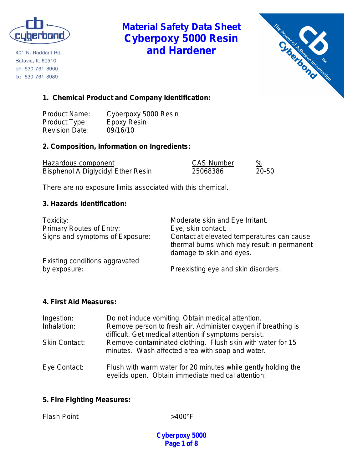

401 N. Raddant Rd. Batavia, IL 60510 ph: 630-761-8900 fx: 630-761-8989

# **Material Safety Data Sheet Cyberpoxy 5000 Resin and Hardener**



# **1. Chemical Product and Company Identification:**

Product Name: Cyberpoxy 5000 Resin<br>Product Type: Epoxy Resin Product Type: Revision Date: 09/16/10

## **2. Composition, Information on Ingredients:**

| Hazardous component                       | <b>CAS Number</b> | %         |
|-------------------------------------------|-------------------|-----------|
| <b>Bisphenol A Diglycidyl Ether Resin</b> | 25068386          | $20 - 50$ |

There are no exposure limits associated with this chemical.

### **3. Hazards Identification:**

| Toxicity:                       | Moderate skin and Eye Irritant.                                                                                       |
|---------------------------------|-----------------------------------------------------------------------------------------------------------------------|
| <b>Primary Routes of Entry:</b> | Eye, skin contact.                                                                                                    |
| Signs and symptoms of Exposure: | Contact at elevated temperatures can cause<br>thermal burns which may result in permanent<br>damage to skin and eyes. |
| Existing conditions aggravated  |                                                                                                                       |
| by exposure:                    | Preexisting eye and skin disorders.                                                                                   |

#### **4. First Aid Measures:**

| Ingestion:           | Do not induce vomiting. Obtain medical attention.                                                                      |
|----------------------|------------------------------------------------------------------------------------------------------------------------|
| Inhalation:          | Remove person to fresh air. Administer oxygen if breathing is<br>difficult. Get medical attention if symptoms persist. |
| <b>Skin Contact:</b> | Remove contaminated clothing. Flush skin with water for 15<br>minutes. Wash affected area with soap and water.         |
| Eye Contact:         | Flush with warm water for 20 minutes while gently holding the<br>eyelids open. Obtain immediate medical attention.     |

## **5. Fire Fighting Measures:**

Flash Point  $>400^{\circ}$ F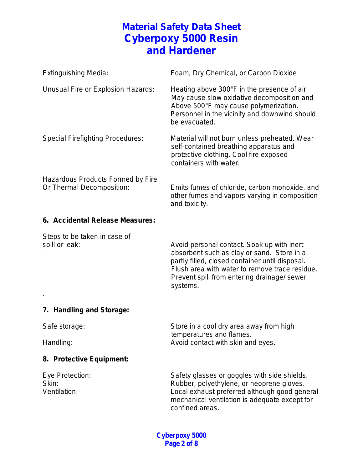| <b>Extinguishing Media:</b>                                    | Foam, Dry Chemical, or Carbon Dioxide                                                                                                                                                               |
|----------------------------------------------------------------|-----------------------------------------------------------------------------------------------------------------------------------------------------------------------------------------------------|
| Unusual Fire or Explosion Hazards:                             | Heating above 300°F in the presence of air<br>May cause slow oxidative decomposition and<br>Above 500°F may cause polymerization.<br>Personnel in the vicinity and downwind should<br>be evacuated. |
| <b>Special Firefighting Procedures:</b>                        | Material will not burn unless preheated. Wear<br>self-contained breathing apparatus and<br>protective clothing. Cool fire exposed<br>containers with water.                                         |
| Hazardous Products Formed by Fire<br>Or Thermal Decomposition: | Emits fumes of chloride, carbon monoxide, and<br>other fumes and vapors varying in composition<br>and toxicity.                                                                                     |

### **6. Accidental Release Measures:**

Steps to be taken in case of

spill or leak:  $\sim$  Avoid personal contact. Soak up with inert absorbent such as clay or sand. Store in a partly filled, closed container until disposal. Flush area with water to remove trace residue. Prevent spill from entering drainage/ sewer systems.

# **7. Handling and Storage:**

.

Safe storage: Safe storage: Store in a cool dry area away from high temperatures and flames. Handling: Handling: Handling: Avoid contact with skin and eyes.

## **8. Protective Equipment:**

Eye Protection: Safety glasses or goggles with side shields. Skin: Skin: Skin: Rubber, polyethylene, or neoprene gloves. Ventilation: Local exhaust preferred although good general mechanical ventilation is adequate except for confined areas.

> **Cyberpoxy 5000 Page 2 of 8**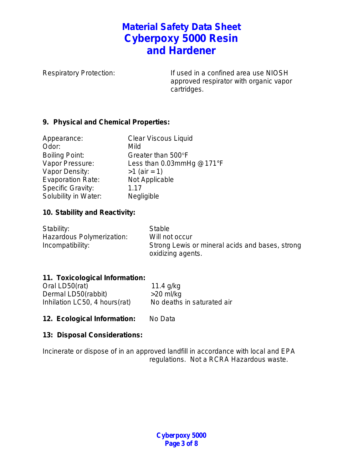Respiratory Protection: If used in a confined area use NIOSH approved respirator with organic vapor cartridges.

## **9. Physical and Chemical Properties:**

| Appearance:              | <b>Clear Viscous Liquid</b> |
|--------------------------|-----------------------------|
| Odor:                    | Mild                        |
| <b>Boiling Point:</b>    | Greater than 500°F          |
| Vapor Pressure:          | Less than 0.03mmHg @171°F   |
| Vapor Density:           | $>1$ (air = 1)              |
| <b>Evaporation Rate:</b> | Not Applicable              |
| <b>Specific Gravity:</b> | 1.17                        |
| Solubility in Water:     | Negligible                  |

# **10. Stability and Reactivity:**

| Stability:                | <b>Stable</b>                                   |
|---------------------------|-------------------------------------------------|
| Hazardous Polymerization: | Will not occur                                  |
| Incompatibility:          | Strong Lewis or mineral acids and bases, strong |
|                           | oxidizing agents.                               |

# **11. Toxicological Information:**

| Oral LD50(rat)                | 11.4 $q/kg$                |
|-------------------------------|----------------------------|
| Dermal LD50(rabbit)           | $>20$ ml/kg                |
| Inhilation LC50, 4 hours(rat) | No deaths in saturated air |

12. Ecological Information: No Data

## **13: Disposal Considerations:**

Incinerate or dispose of in an approved landfill in accordance with local and EPA regulations. Not a RCRA Hazardous waste.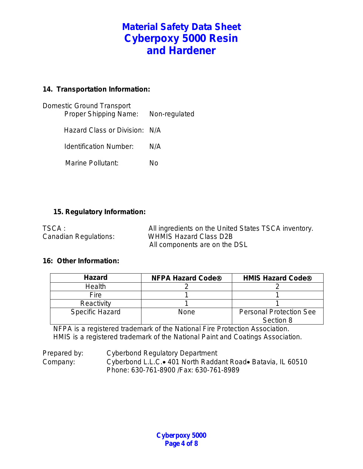# **14. Transportation Information:**

| Domestic Ground Transport<br>Proper Shipping Name: | Non-regulated |
|----------------------------------------------------|---------------|
| Hazard Class or Division: N/A                      |               |
| Identification Number:                             | N/A           |
| Marine Pollutant:                                  | N٥            |
|                                                    |               |

### **15. Regulatory Information:**

| TSCA :                | All ingredients on the United States TSCA inventory. |
|-----------------------|------------------------------------------------------|
| Canadian Regulations: | <b>WHMIS Hazard Class D2B</b>                        |
|                       | All components are on the DSL                        |

#### **16: Other Information:**

| <b>Hazard</b>          | <b>NFPA Hazard Code®</b> | <b>HMIS Hazard Code®</b>                    |
|------------------------|--------------------------|---------------------------------------------|
| <b>Health</b>          |                          |                                             |
| Fire                   |                          |                                             |
| Reactivity             |                          |                                             |
| <b>Specific Hazard</b> | None                     | <b>Personal Protection See</b><br>Section 8 |

NFPA is a registered trademark of the National Fire Protection Association. HMIS is a registered trademark of the National Paint and Coatings Association.

Prepared by: Cyberbond Regulatory Department Company: Cyberbond L.L.C.• 401 North Raddant Road• Batavia, IL 60510 Phone: 630-761-8900 /Fax: 630-761-8989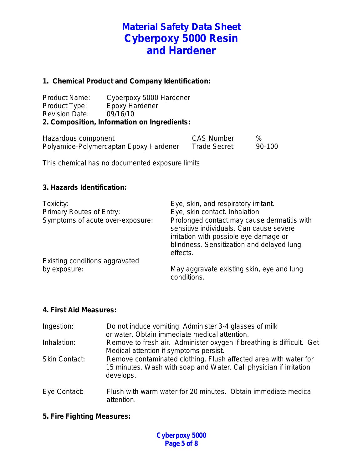### **1. Chemical Product and Company Identification:**

Product Name: Cyberpoxy 5000 Hardener<br>Product Type: Epoxy Hardener Product Type: Epoxy Hardener Revision Date: 09/16/10 **2. Composition, Information on Ingredients:**

| Hazardous component                    | <b>CAS Number</b>   | ℅      |
|----------------------------------------|---------------------|--------|
| Polyamide-Polymercaptan Epoxy Hardener | <b>Trade Secret</b> | 90-100 |

This chemical has no documented exposure limits

### **3. Hazards Identification:**

| Toxicity:<br><b>Primary Routes of Entry:</b><br>Symptoms of acute over-exposure: | Eye, skin, and respiratory irritant.<br>Eye, skin contact. Inhalation<br>Prolonged contact may cause dermatitis with<br>sensitive individuals. Can cause severe<br>irritation with possible eye damage or<br>blindness. Sensitization and delayed lung |
|----------------------------------------------------------------------------------|--------------------------------------------------------------------------------------------------------------------------------------------------------------------------------------------------------------------------------------------------------|
| Existing conditions aggravated                                                   | effects.                                                                                                                                                                                                                                               |
| by exposure:                                                                     | May aggravate existing skin, eye and lung<br>conditions.                                                                                                                                                                                               |

#### **4. First Aid Measures:**

| Ingestion:           | Do not induce vomiting. Administer 3-4 glasses of milk<br>or water. Obtain immediate medical attention.                                             |
|----------------------|-----------------------------------------------------------------------------------------------------------------------------------------------------|
| Inhalation:          | Remove to fresh air. Administer oxygen if breathing is difficult. Get<br>Medical attention if symptoms persist.                                     |
| <b>Skin Contact:</b> | Remove contaminated clothing. Flush affected area with water for<br>15 minutes. Wash with soap and Water. Call physician if irritation<br>develops. |
| Eye Contact:         | Flush with warm water for 20 minutes. Obtain immediate medical<br>attention.                                                                        |

#### **5. Fire Fighting Measures:**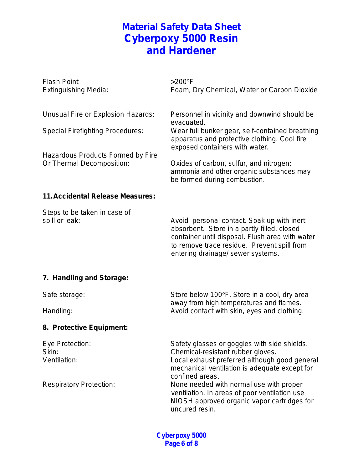| <b>Flash Point</b><br><b>Extinguishing Media:</b>                             | $>200^\circ F$<br>Foam, Dry Chemical, Water or Carbon Dioxide                                                                                                                                                                    |
|-------------------------------------------------------------------------------|----------------------------------------------------------------------------------------------------------------------------------------------------------------------------------------------------------------------------------|
| Unusual Fire or Explosion Hazards:<br><b>Special Firefighting Procedures:</b> | Personnel in vicinity and downwind should be<br>evacuated.<br>Wear full bunker gear, self-contained breathing<br>apparatus and protective clothing. Cool fire<br>exposed containers with water.                                  |
| Hazardous Products Formed by Fire<br>Or Thermal Decomposition:                | Oxides of carbon, sulfur, and nitrogen;<br>ammonia and other organic substances may<br>be formed during combustion.                                                                                                              |
| <b>11. Accidental Release Measures:</b>                                       |                                                                                                                                                                                                                                  |
| Steps to be taken in case of<br>spill or leak:                                | Avoid personal contact. Soak up with inert<br>absorbent. Store in a partly filled, closed<br>container until disposal. Flush area with water<br>to remove trace residue. Prevent spill from<br>entering drainage/ sewer systems. |
| 7. Handling and Storage:                                                      |                                                                                                                                                                                                                                  |
| Safe storage:                                                                 | Store below 100°F. Store in a cool, dry area                                                                                                                                                                                     |
| Handling:                                                                     | away from high temperatures and flames.<br>Avoid contact with skin, eyes and clothing.                                                                                                                                           |
| 8. Protective Equipment:                                                      |                                                                                                                                                                                                                                  |
| Eye Protection:<br>Skin:<br>Ventilation:                                      | Safety glasses or goggles with side shields.<br>Chemical-resistant rubber gloves.<br>Local exhaust preferred although good general<br>mechanical ventilation is adequate except for<br>confined areas.                           |
| <b>Respiratory Protection:</b>                                                | None needed with normal use with proper<br>ventilation. In areas of poor ventilation use<br>NIOSH approved organic vapor cartridges for<br>uncured resin.                                                                        |

**Cyberpoxy 5000 Page 6 of 8**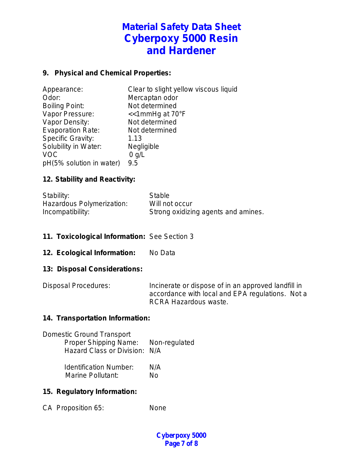# **9. Physical and Chemical Properties:**

| Appearance:              | Clear to slight yellow viscous liquid |
|--------------------------|---------------------------------------|
| Odor:                    | Mercaptan odor                        |
| <b>Boiling Point:</b>    | Not determined                        |
| Vapor Pressure:          | $\le$ 1mmHg at 70 $\degree$ F         |
| Vapor Density:           | Not determined                        |
| <b>Evaporation Rate:</b> | Not determined                        |
| <b>Specific Gravity:</b> | 1.13                                  |
| Solubility in Water:     | Negligible                            |
| <b>VOC</b>               | $0$ g/L                               |
| pH(5% solution in water) | 9.5                                   |

### **12. Stability and Reactivity:**

| Stability:                | Stable                              |
|---------------------------|-------------------------------------|
| Hazardous Polymerization: | Will not occur                      |
| Incompatibility:          | Strong oxidizing agents and amines. |

#### **11. Toxicological Information:** See Section 3

**12. Ecological Information:** No Data

#### **13: Disposal Considerations:**

Disposal Procedures: Incinerate or dispose of in an approved landfill in accordance with local and EPA regulations. Not a RCRA Hazardous waste.

#### **14. Transportation Information:**

| <b>Domestic Ground Transport</b><br>Proper Shipping Name: Non-regulated<br>Hazard Class or Division: N/A |     |
|----------------------------------------------------------------------------------------------------------|-----|
| <b>Identification Number:</b>                                                                            | N/A |

Marine Pollutant: No

## **15. Regulatory Information:**

CA Proposition 65: None